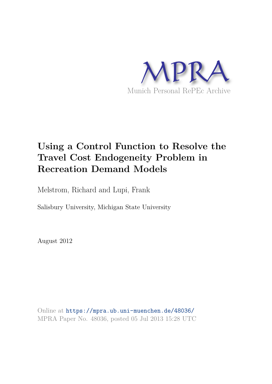

# **Using a Control Function to Resolve the Travel Cost Endogeneity Problem in Recreation Demand Models**

Melstrom, Richard and Lupi, Frank

Salisbury University, Michigan State University

August 2012

Online at https://mpra.ub.uni-muenchen.de/48036/ MPRA Paper No. 48036, posted 05 Jul 2013 15:28 UTC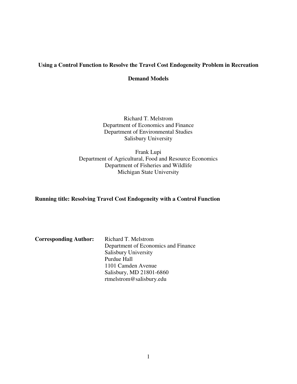## **Using a Control Function to Resolve the Travel Cost Endogeneity Problem in Recreation**

#### **Demand Models**

Richard T. Melstrom Department of Economics and Finance Department of Environmental Studies Salisbury University

Frank Lupi Department of Agricultural, Food and Resource Economics Department of Fisheries and Wildlife Michigan State University

**Running title: Resolving Travel Cost Endogeneity with a Control Function** 

| <b>Corresponding Author:</b> | Richard T. Melstrom                 |
|------------------------------|-------------------------------------|
|                              | Department of Economics and Finance |
|                              | <b>Salisbury University</b>         |
|                              | Purdue Hall                         |
|                              | 1101 Camden Avenue                  |
|                              | Salisbury, MD 21801-6860            |
|                              | rtmelstrom@salisbury.edu            |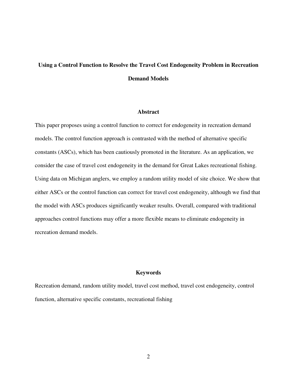# **Using a Control Function to Resolve the Travel Cost Endogeneity Problem in Recreation Demand Models**

#### **Abstract**

This paper proposes using a control function to correct for endogeneity in recreation demand models. The control function approach is contrasted with the method of alternative specific constants (ASCs), which has been cautiously promoted in the literature. As an application, we consider the case of travel cost endogeneity in the demand for Great Lakes recreational fishing. Using data on Michigan anglers, we employ a random utility model of site choice. We show that either ASCs or the control function can correct for travel cost endogeneity, although we find that the model with ASCs produces significantly weaker results. Overall, compared with traditional approaches control functions may offer a more flexible means to eliminate endogeneity in recreation demand models.

#### **Keywords**

Recreation demand, random utility model, travel cost method, travel cost endogeneity, control function, alternative specific constants, recreational fishing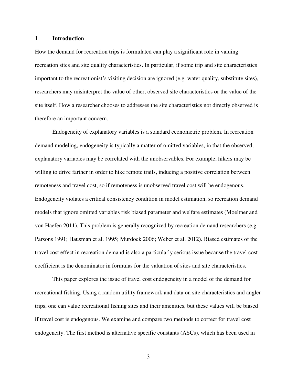#### **1 Introduction**

How the demand for recreation trips is formulated can play a significant role in valuing recreation sites and site quality characteristics. In particular, if some trip and site characteristics important to the recreationist's visiting decision are ignored (e.g. water quality, substitute sites), researchers may misinterpret the value of other, observed site characteristics or the value of the site itself. How a researcher chooses to addresses the site characteristics not directly observed is therefore an important concern.

 Endogeneity of explanatory variables is a standard econometric problem. In recreation demand modeling, endogeneity is typically a matter of omitted variables, in that the observed, explanatory variables may be correlated with the unobservables. For example, hikers may be willing to drive farther in order to hike remote trails, inducing a positive correlation between remoteness and travel cost, so if remoteness is unobserved travel cost will be endogenous. Endogeneity violates a critical consistency condition in model estimation, so recreation demand models that ignore omitted variables risk biased parameter and welfare estimates (Moeltner and von Haefen 2011). This problem is generally recognized by recreation demand researchers (e.g. Parsons 1991; Hausman et al. 1995; Murdock 2006; Weber et al. 2012). Biased estimates of the travel cost effect in recreation demand is also a particularly serious issue because the travel cost coefficient is the denominator in formulas for the valuation of sites and site characteristics.

 This paper explores the issue of travel cost endogeneity in a model of the demand for recreational fishing. Using a random utility framework and data on site characteristics and angler trips, one can value recreational fishing sites and their amenities, but these values will be biased if travel cost is endogenous. We examine and compare two methods to correct for travel cost endogeneity. The first method is alternative specific constants (ASCs), which has been used in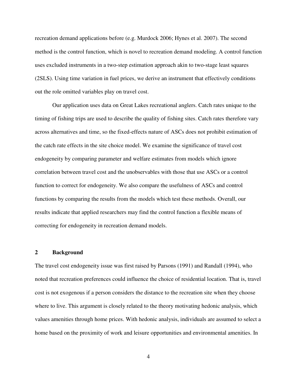recreation demand applications before (e.g. Murdock 2006; Hynes et al. 2007). The second method is the control function, which is novel to recreation demand modeling. A control function uses excluded instruments in a two-step estimation approach akin to two-stage least squares (2SLS). Using time variation in fuel prices, we derive an instrument that effectively conditions out the role omitted variables play on travel cost.

 Our application uses data on Great Lakes recreational anglers. Catch rates unique to the timing of fishing trips are used to describe the quality of fishing sites. Catch rates therefore vary across alternatives and time, so the fixed-effects nature of ASCs does not prohibit estimation of the catch rate effects in the site choice model. We examine the significance of travel cost endogeneity by comparing parameter and welfare estimates from models which ignore correlation between travel cost and the unobservables with those that use ASCs or a control function to correct for endogeneity. We also compare the usefulness of ASCs and control functions by comparing the results from the models which test these methods. Overall, our results indicate that applied researchers may find the control function a flexible means of correcting for endogeneity in recreation demand models.

#### **2 Background**

The travel cost endogeneity issue was first raised by Parsons (1991) and Randall (1994), who noted that recreation preferences could influence the choice of residential location. That is, travel cost is not exogenous if a person considers the distance to the recreation site when they choose where to live. This argument is closely related to the theory motivating hedonic analysis, which values amenities through home prices. With hedonic analysis, individuals are assumed to select a home based on the proximity of work and leisure opportunities and environmental amenities. In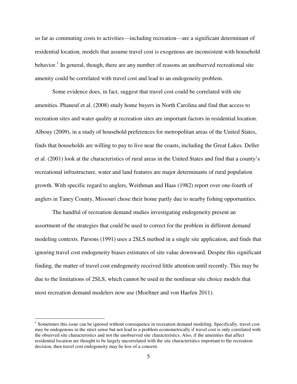so far as commuting costs to activities—including recreation—are a significant determinant of residential location, models that assume travel cost is exogenous are inconsistent with household behavior.<sup>1</sup> In general, though, there are any number of reasons an unobserved recreational site amenity could be correlated with travel cost and lead to an endogeneity problem.

Some evidence does, in fact, suggest that travel cost could be correlated with site amenities. Phaneuf et al. (2008) study home buyers in North Carolina and find that access to recreation sites and water quality at recreation sites are important factors in residential location. Albouy (2009), in a study of household preferences for metropolitan areas of the United States, finds that households are willing to pay to live near the coasts, including the Great Lakes. Deller et al. (2001) look at the characteristics of rural areas in the United States and find that a county's recreational infrastructure, water and land features are major determinants of rural population growth. With specific regard to anglers, Weithman and Haas (1982) report over one-fourth of anglers in Taney County, Missouri chose their home partly due to nearby fishing opportunities.

The handful of recreation demand studies investigating endogeneity present an assortment of the strategies that could be used to correct for the problem in different demand modeling contexts. Parsons (1991) uses a 2SLS method in a single site application, and finds that ignoring travel cost endogeneity biases estimates of site value downward. Despite this significant finding, the matter of travel cost endogeneity received little attention until recently. This may be due to the limitations of 2SLS, which cannot be used in the nonlinear site choice models that most recreation demand modelers now use (Moeltner and von Haefen 2011).

l

<sup>&</sup>lt;sup>1</sup> Sometimes this issue can be ignored without consequence in recreation demand modeling. Specifically, travel cost may be endogenous in the strict sense but not lead to a problem econometrically if travel cost is only correlated with the observed site characteristics and not the unobserved site characteristics. Also, if the amenities that affect residential location are thought to be largely uncorrelated with the site characteristics important to the recreation decision, then travel cost endogeneity may be less of a concern.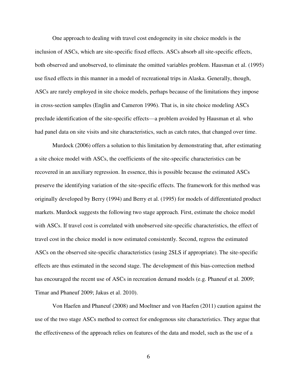One approach to dealing with travel cost endogeneity in site choice models is the inclusion of ASCs, which are site-specific fixed effects. ASCs absorb all site-specific effects, both observed and unobserved, to eliminate the omitted variables problem. Hausman et al. (1995) use fixed effects in this manner in a model of recreational trips in Alaska. Generally, though, ASCs are rarely employed in site choice models, perhaps because of the limitations they impose in cross-section samples (Englin and Cameron 1996). That is, in site choice modeling ASCs preclude identification of the site-specific effects—a problem avoided by Hausman et al. who had panel data on site visits and site characteristics, such as catch rates, that changed over time.

Murdock (2006) offers a solution to this limitation by demonstrating that, after estimating a site choice model with ASCs, the coefficients of the site-specific characteristics can be recovered in an auxiliary regression. In essence, this is possible because the estimated ASCs preserve the identifying variation of the site-specific effects. The framework for this method was originally developed by Berry (1994) and Berry et al. (1995) for models of differentiated product markets. Murdock suggests the following two stage approach. First, estimate the choice model with ASCs. If travel cost is correlated with unobserved site-specific characteristics, the effect of travel cost in the choice model is now estimated consistently. Second, regress the estimated ASCs on the observed site-specific characteristics (using 2SLS if appropriate). The site-specific effects are thus estimated in the second stage. The development of this bias-correction method has encouraged the recent use of ASCs in recreation demand models (e.g. Phaneuf et al. 2009; Timar and Phaneuf 2009; Jakus et al. 2010).

Von Haefen and Phaneuf (2008) and Moeltner and von Haefen (2011) caution against the use of the two stage ASCs method to correct for endogenous site characteristics. They argue that the effectiveness of the approach relies on features of the data and model, such as the use of a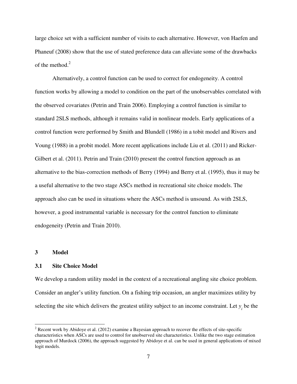large choice set with a sufficient number of visits to each alternative. However, von Haefen and Phaneuf (2008) show that the use of stated preference data can alleviate some of the drawbacks of the method. $2$ 

Alternatively, a control function can be used to correct for endogeneity. A control function works by allowing a model to condition on the part of the unobservables correlated with the observed covariates (Petrin and Train 2006). Employing a control function is similar to standard 2SLS methods, although it remains valid in nonlinear models. Early applications of a control function were performed by Smith and Blundell (1986) in a tobit model and Rivers and Voung (1988) in a probit model. More recent applications include Liu et al. (2011) and Ricker-Gilbert et al. (2011). Petrin and Train (2010) present the control function approach as an alternative to the bias-correction methods of Berry (1994) and Berry et al. (1995), thus it may be a useful alternative to the two stage ASCs method in recreational site choice models. The approach also can be used in situations where the ASCs method is unsound. As with 2SLS, however, a good instrumental variable is necessary for the control function to eliminate endogeneity (Petrin and Train 2010).

#### **3 Model**

 $\overline{a}$ 

#### **3.1 Site Choice Model**

We develop a random utility model in the context of a recreational angling site choice problem. Consider an angler's utility function. On a fishing trip occasion, an angler maximizes utility by selecting the site which delivers the greatest utility subject to an income constraint. Let  $y_i$  be the

 $2^{2}$  Recent work by Abidoye et al. (2012) examine a Bayesian approach to recover the effects of site-specific characteristics when ASCs are used to control for unobserved site characteristics. Unlike the two stage estimation approach of Murdock (2006), the approach suggested by Abidoye et al. can be used in general applications of mixed logit models.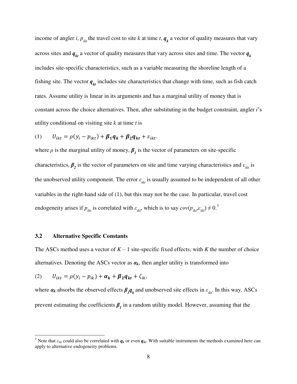income of angler *i*,  $p_{ik}$  the travel cost to site *k* at time *t*,  $q_k$  a vector of quality measures that vary across sites and  $q_{kt}$  a vector of quality measures that vary across sites and time. The vector  $q_{kt}$ includes site-specific characteristics, such as a variable measuring the shoreline length of a fishing site. The vector  $q_{kt}$  includes site characteristics that change with time, such as fish catch rates. Assume utility is linear in its arguments and has a marginal utility of money that is constant across the choice alternatives. Then, after substituting in the budget constraint, angler *i*'s utility conditional on visiting site *k* at time *t* is

(1) 
$$
U_{ikt} = \rho(y_i - p_{ikt}) + \beta_1 q_k + \beta_2 q_{kt} + \varepsilon_{ikt}.
$$

where  $\rho$  is the marginal utility of money,  $\beta_I$  is the vector of parameters on site-specific characteristics,  $\beta_2$  is the vector of parameters on site and time varying characteristics and  $\varepsilon_{ikt}$  is the unobserved utility component. The error  $\varepsilon_{ikt}$  is usually assumed to be independent of all other variables in the right-hand side of (1), but this may not be the case. In particular, travel cost endogeneity arises if  $p_{ikt}$  is correlated with  $\varepsilon_{ikt}$ , which is to say  $cov(p_{ikt}^i, \varepsilon_{ikt}) \neq 0$ .<sup>3</sup>

#### **3.2 Alternative Specific Constants**

l

The ASCs method uses a vector of  $K - 1$  site-specific fixed effects, with  $K$  the number of choice alternatives. Denoting the ASCs vector as  $a_k$ , then angler utility is transformed into

$$
(2) \qquad U_{ikt} = \rho(y_i - p_{ik}) + \alpha_k + \beta_2 q_{kt} + \zeta_{ik},
$$

where  $a_k$  absorbs the observed effects  $\beta_l q_k$  and unobserved site effects in  $\varepsilon_{ikl}$ . In this way, ASCs prevent estimating the coefficients  $\beta_1$  in a random utility model. However, assuming that the

<sup>&</sup>lt;sup>3</sup> Note that  $\varepsilon_{ikt}$  could also be correlated with  $q_k$  or even  $q_{kt}$ . With suitable instruments the methods examined here can apply to alternative endogeneity problems.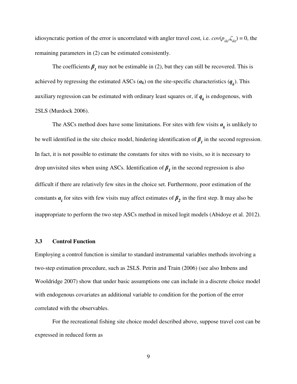idiosyncratic portion of the error is uncorrelated with angler travel cost, i.e.  $cov(p_{ikt}, \zeta_{ikt}) = 0$ , the remaining parameters in (2) can be estimated consistently.

The coefficients  $\beta_1$  may not be estimable in (2), but they can still be recovered. This is achieved by regressing the estimated ASCs  $(a_k)$  on the site-specific characteristics  $(q_k)$ . This auxiliary regression can be estimated with ordinary least squares or, if  $q_k$  is endogenous, with 2SLS (Murdock 2006).

The ASCs method does have some limitations. For sites with few visits  $\alpha_k$  is unlikely to be well identified in the site choice model, hindering identification of  $\beta_I$  in the second regression. In fact, it is not possible to estimate the constants for sites with no visits, so it is necessary to drop unvisited sites when using ASCs. Identification of  $\beta_I$  in the second regression is also difficult if there are relatively few sites in the choice set. Furthermore, poor estimation of the constants  $\alpha_i$  for sites with few visits may affect estimates of  $\beta_2$  in the first step. It may also be inappropriate to perform the two step ASCs method in mixed logit models (Abidoye et al. 2012).

#### **3.3 Control Function**

Employing a control function is similar to standard instrumental variables methods involving a two-step estimation procedure, such as 2SLS. Petrin and Train (2006) (see also Imbens and Wooldridge 2007) show that under basic assumptions one can include in a discrete choice model with endogenous covariates an additional variable to condition for the portion of the error correlated with the observables.

For the recreational fishing site choice model described above, suppose travel cost can be expressed in reduced form as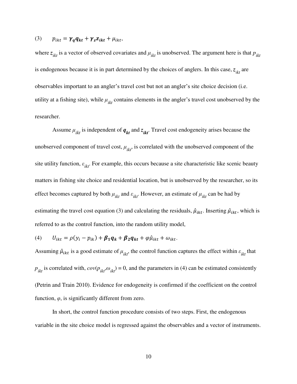#### (3)  $p_{ikt} = \gamma_q q_{kt} + \gamma_z z_{ikt} + \mu_{ikt}$

where  $z_{ikt}$  is a vector of observed covariates and  $\mu_{ikt}$  is unobserved. The argument here is that  $p_{ikt}$ is endogenous because it is in part determined by the choices of anglers. In this case,  $z_{ikt}$  are observables important to an angler's travel cost but not an angler's site choice decision (i.e. utility at a fishing site), while  $\mu_{ikt}$  contains elements in the angler's travel cost unobserved by the researcher.

Assume  $\mu_{ikt}$  is independent of  $q_{kt}$  and  $z_{ikt}$ . Travel cost endogeneity arises because the unobserved component of travel cost,  $\mu_{ikt}$ , is correlated with the unobserved component of the site utility function,  $\varepsilon_{ikt}$ . For example, this occurs because a site characteristic like scenic beauty matters in fishing site choice and residential location, but is unobserved by the researcher, so its effect becomes captured by both  $\mu_{ikt}$  and  $\varepsilon_{ikt}$ . However, an estimate of  $\mu_{ikt}$  can be had by estimating the travel cost equation (3) and calculating the residuals,  $\hat{\mu}_{ikt}$ . Inserting  $\hat{\mu}_{ikt}$ , which is referred to as the control function, into the random utility model,

(4) 
$$
U_{ikt} = \rho(y_i - p_{ik}) + \beta_1 q_k + \beta_2 q_{kt} + \varphi \hat{\mu}_{ikt} + \omega_{ikt}.
$$

Assuming  $\hat{\mu}_{ikt}$  is a good estimate of  $\mu_{ikt}$ , the control function captures the effect within  $\varepsilon_{ikt}$  that  $p_{ikt}$  is correlated with,  $cov(p_{ikt}, \omega_{ikt}) = 0$ , and the parameters in (4) can be estimated consistently (Petrin and Train 2010). Evidence for endogeneity is confirmed if the coefficient on the control function,  $\varphi$ , is significantly different from zero.

In short, the control function procedure consists of two steps. First, the endogenous variable in the site choice model is regressed against the observables and a vector of instruments.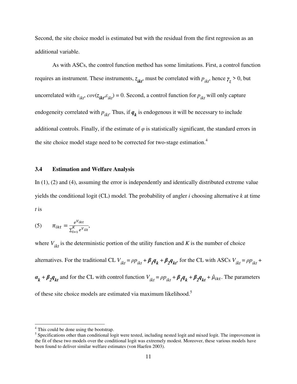Second, the site choice model is estimated but with the residual from the first regression as an additional variable.

As with ASCs, the control function method has some limitations. First, a control function requires an instrument. These instruments,  $z_{ikt}$ , must be correlated with  $p_{ikt}$ , hence  $\gamma_z > 0$ , but uncorrelated with  $\varepsilon_{ikt}$ ,  $cov(z_{ikt}, \varepsilon_{ikt}) = 0$ . Second, a control function for  $p_{ikt}$  will only capture endogeneity correlated with  $p_{ikt}$ . Thus, if  $q_k$  is endogenous it will be necessary to include additional controls. Finally, if the estimate of  $\varphi$  is statistically significant, the standard errors in the site choice model stage need to be corrected for two-stage estimation.<sup>4</sup>

#### **3.4 Estimation and Welfare Analysis**

In (1), (2) and (4), assuming the error is independently and identically distributed extreme value yields the conditional logit (CL) model. The probability of angler *i* choosing alternative *k* at time *t* is

(5) 
$$
\pi_{ikt} = \frac{e^{V_{ikt}}}{\sum_{l=1}^{K} e^{V_{ilt}}},
$$

where  $V_{ikt}$  is the deterministic portion of the utility function and K is the number of choice alternatives. For the traditional CL  $V_{ikt} = \rho p_{ikt} + \beta_1 q_k + \beta_2 q_{kt}$ , for the CL with ASCs  $V_{ikt} = \rho p_{ikt} +$  $a_k + \beta_2 q_{kt}$  and for the CL with control function  $V_{ikt} = \rho p_{ikt} + \beta_1 q_k + \beta_2 q_{kt} + \hat{\mu}_{ikt}$ . The parameters of these site choice models are estimated via maximum likelihood.<sup>5</sup>

 $\overline{a}$ 

<sup>&</sup>lt;sup>4</sup> This could be done using the bootstrap.

 $<sup>5</sup>$  Specifications other than conditional logit were tested, including nested logit and mixed logit. The improvement in</sup> the fit of these two models over the conditional logit was extremely modest. Moreover, these various models have been found to deliver similar welfare estimates (von Haefen 2003).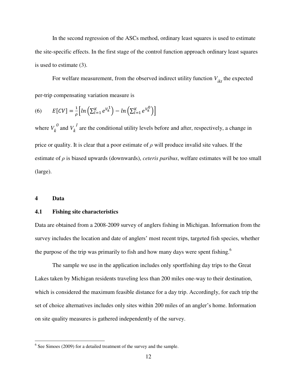In the second regression of the ASCs method, ordinary least squares is used to estimate the site-specific effects. In the first stage of the control function approach ordinary least squares is used to estimate (3).

For welfare measurement, from the observed indirect utility function  $V_{ikt}$  the expected per-trip compensating variation measure is

(6) 
$$
E[CV] = \frac{1}{\rho} \Big[ ln \Big( \sum_{l=1}^{K} e^{V_k^1} \Big) - ln \Big( \sum_{l=1}^{K} e^{V_k^0} \Big) \Big]
$$

where  $V_k^0$  and  $V_k^1$  are the conditional utility levels before and after, respectively, a change in price or quality. It is clear that a poor estimate of *ρ* will produce invalid site values. If the estimate of *ρ* is biased upwards (downwards), *ceteris paribus*, welfare estimates will be too small (large).

#### **4 Data**

 $\overline{a}$ 

#### **4.1 Fishing site characteristics**

Data are obtained from a 2008-2009 survey of anglers fishing in Michigan. Information from the survey includes the location and date of anglers' most recent trips, targeted fish species, whether the purpose of the trip was primarily to fish and how many days were spent fishing.<sup>6</sup>

The sample we use in the application includes only sportfishing day trips to the Great Lakes taken by Michigan residents traveling less than 200 miles one-way to their destination, which is considered the maximum feasible distance for a day trip. Accordingly, for each trip the set of choice alternatives includes only sites within 200 miles of an angler's home. Information on site quality measures is gathered independently of the survey.

 $6$  See Simoes (2009) for a detailed treatment of the survey and the sample.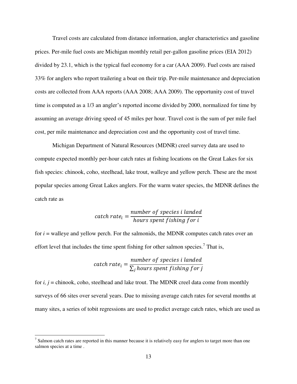Travel costs are calculated from distance information, angler characteristics and gasoline prices. Per-mile fuel costs are Michigan monthly retail per-gallon gasoline prices (EIA 2012) divided by 23.1, which is the typical fuel economy for a car (AAA 2009). Fuel costs are raised 33% for anglers who report trailering a boat on their trip. Per-mile maintenance and depreciation costs are collected from AAA reports (AAA 2008; AAA 2009). The opportunity cost of travel time is computed as a 1/3 an angler's reported income divided by 2000, normalized for time by assuming an average driving speed of 45 miles per hour. Travel cost is the sum of per mile fuel cost, per mile maintenance and depreciation cost and the opportunity cost of travel time.

Michigan Department of Natural Resources (MDNR) creel survey data are used to compute expected monthly per-hour catch rates at fishing locations on the Great Lakes for six fish species: chinook, coho, steelhead, lake trout, walleye and yellow perch. These are the most popular species among Great Lakes anglers. For the warm water species, the MDNR defines the catch rate as

$$
catch\ rate_i = \frac{number\ of\ species\ i\ landed}{hours\ spent\ fishing\ for\ i}
$$

for *i* = walleye and yellow perch. For the salmonids, the MDNR computes catch rates over an effort level that includes the time spent fishing for other salmon species.<sup>7</sup> That is,

$$
catch\ rate_i = \frac{number\ of\ species\ i\ landed}{\sum_j hours\ spent\ fishing\ for\ j}
$$

for  $i, j$  = chinook, coho, steelhead and lake trout. The MDNR creel data come from monthly surveys of 66 sites over several years. Due to missing average catch rates for several months at many sites, a series of tobit regressions are used to predict average catch rates, which are used as

l

 $<sup>7</sup>$  Salmon catch rates are reported in this manner because it is relatively easy for anglers to target more than one</sup> salmon species at a time .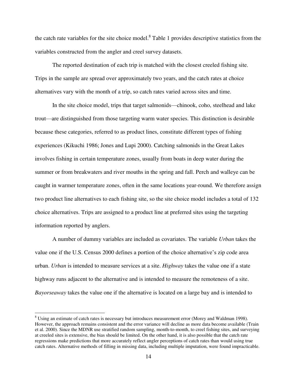the catch rate variables for the site choice model.<sup>8</sup> Table 1 provides descriptive statistics from the variables constructed from the angler and creel survey datasets.

The reported destination of each trip is matched with the closest creeled fishing site. Trips in the sample are spread over approximately two years, and the catch rates at choice alternatives vary with the month of a trip, so catch rates varied across sites and time.

 In the site choice model, trips that target salmonids—chinook, coho, steelhead and lake trout—are distinguished from those targeting warm water species. This distinction is desirable because these categories, referred to as product lines, constitute different types of fishing experiences (Kikuchi 1986; Jones and Lupi 2000). Catching salmonids in the Great Lakes involves fishing in certain temperature zones, usually from boats in deep water during the summer or from breakwaters and river mouths in the spring and fall. Perch and walleye can be caught in warmer temperature zones, often in the same locations year-round. We therefore assign two product line alternatives to each fishing site, so the site choice model includes a total of 132 choice alternatives. Trips are assigned to a product line at preferred sites using the targeting information reported by anglers.

 A number of dummy variables are included as covariates. The variable *Urban* takes the value one if the U.S. Census 2000 defines a portion of the choice alternative's zip code area urban. *Urban* is intended to measure services at a site. *Highway* takes the value one if a state highway runs adjacent to the alternative and is intended to measure the remoteness of a site. *Bayorseaway* takes the value one if the alternative is located on a large bay and is intended to

l

<sup>&</sup>lt;sup>8</sup> Using an estimate of catch rates is necessary but introduces measurement error (Morey and Waldman 1998). However, the approach remains consistent and the error variance will decline as more data become available (Train et al. 2000). Since the MDNR use stratified random sampling, month-to-month, to creel fishing sites, and surveying at creeled sites is extensive, the bias should be limited. On the other hand, it is also possible that the catch rate regressions make predictions that more accurately reflect angler perceptions of catch rates than would using true catch rates. Alternative methods of filling in missing data, including multiple imputation, were found impracticable.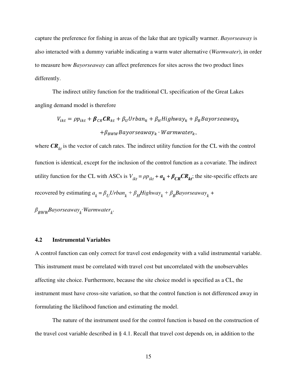capture the preference for fishing in areas of the lake that are typically warmer. *Bayorseaway* is also interacted with a dummy variable indicating a warm water alternative (*Warmwater*), in order to measure how *Bayorseaway* can affect preferences for sites across the two product lines differently.

 The indirect utility function for the traditional CL specification of the Great Lakes angling demand model is therefore

$$
V_{ikt} = \rho p_{ikt} + \beta_{CR} C R_{kt} + \beta_U U r b a n_k + \beta_H H i g h w a y_k + \beta_B B a y or se a w a y_k
$$

$$
+ \beta_{BWW} B a y or se a w a y_k \cdot W a r m water_k,
$$

where  $CR_{kt}$  is the vector of catch rates. The indirect utility function for the CL with the control function is identical, except for the inclusion of the control function as a covariate. The indirect utility function for the CL with ASCs is  $V_{ikt} = \rho p_{ikt} + \alpha_k + \beta_{CR} CR_{kt}$ ; the site-specific effects are recovered by estimating  $a_k = \beta_U Urban_k + \beta_H Highway_k + \beta_B Bayorseaway_k + \beta_H$ 

*β BWWBayorseaway<sup>k</sup>* ∙*Warmwater<sup>k</sup>* .

#### **4.2 Instrumental Variables**

A control function can only correct for travel cost endogeneity with a valid instrumental variable. This instrument must be correlated with travel cost but uncorrelated with the unobservables affecting site choice. Furthermore, because the site choice model is specified as a CL, the instrument must have cross-site variation, so that the control function is not differenced away in formulating the likelihood function and estimating the model.

 The nature of the instrument used for the control function is based on the construction of the travel cost variable described in § 4.1. Recall that travel cost depends on, in addition to the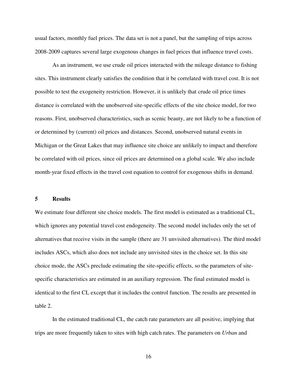usual factors, monthly fuel prices. The data set is not a panel, but the sampling of trips across 2008-2009 captures several large exogenous changes in fuel prices that influence travel costs.

As an instrument, we use crude oil prices interacted with the mileage distance to fishing sites. This instrument clearly satisfies the condition that it be correlated with travel cost. It is not possible to test the exogeneity restriction. However, it is unlikely that crude oil price times distance is correlated with the unobserved site-specific effects of the site choice model, for two reasons. First, unobserved characteristics, such as scenic beauty, are not likely to be a function of or determined by (current) oil prices and distances. Second, unobserved natural events in Michigan or the Great Lakes that may influence site choice are unlikely to impact and therefore be correlated with oil prices, since oil prices are determined on a global scale. We also include month-year fixed effects in the travel cost equation to control for exogenous shifts in demand.

#### **5 Results**

We estimate four different site choice models. The first model is estimated as a traditional CL, which ignores any potential travel cost endogeneity. The second model includes only the set of alternatives that receive visits in the sample (there are 31 unvisited alternatives). The third model includes ASCs, which also does not include any unvisited sites in the choice set. In this site choice mode, the ASCs preclude estimating the site-specific effects, so the parameters of sitespecific characteristics are estimated in an auxiliary regression. The final estimated model is identical to the first CL except that it includes the control function. The results are presented in table 2.

In the estimated traditional CL, the catch rate parameters are all positive, implying that trips are more frequently taken to sites with high catch rates. The parameters on *Urban* and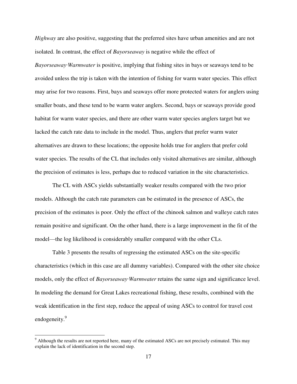*Highway* are also positive, suggesting that the preferred sites have urban amenities and are not isolated. In contrast, the effect of *Bayorseaway* is negative while the effect of *Bayorseaway*∙*Warmwater* is positive, implying that fishing sites in bays or seaways tend to be avoided unless the trip is taken with the intention of fishing for warm water species. This effect may arise for two reasons. First, bays and seaways offer more protected waters for anglers using smaller boats, and these tend to be warm water anglers. Second, bays or seaways provide good habitat for warm water species, and there are other warm water species anglers target but we lacked the catch rate data to include in the model. Thus, anglers that prefer warm water alternatives are drawn to these locations; the opposite holds true for anglers that prefer cold water species. The results of the CL that includes only visited alternatives are similar, although the precision of estimates is less, perhaps due to reduced variation in the site characteristics.

The CL with ASCs yields substantially weaker results compared with the two prior models. Although the catch rate parameters can be estimated in the presence of ASCs, the precision of the estimates is poor. Only the effect of the chinook salmon and walleye catch rates remain positive and significant. On the other hand, there is a large improvement in the fit of the model—the log likelihood is considerably smaller compared with the other CLs.

Table 3 presents the results of regressing the estimated ASCs on the site-specific characteristics (which in this case are all dummy variables). Compared with the other site choice models, only the effect of *Bayorseaway*∙*Warmwater* retains the same sign and significance level. In modeling the demand for Great Lakes recreational fishing, these results, combined with the weak identification in the first step, reduce the appeal of using ASCs to control for travel cost endogeneity.<sup>9</sup>

l

 $9$  Although the results are not reported here, many of the estimated ASCs are not precisely estimated. This may explain the lack of identification in the second step.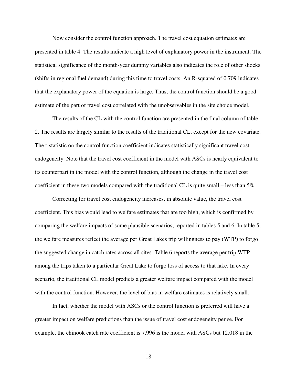Now consider the control function approach. The travel cost equation estimates are presented in table 4. The results indicate a high level of explanatory power in the instrument. The statistical significance of the month-year dummy variables also indicates the role of other shocks (shifts in regional fuel demand) during this time to travel costs. An R-squared of 0.709 indicates that the explanatory power of the equation is large. Thus, the control function should be a good estimate of the part of travel cost correlated with the unobservables in the site choice model.

The results of the CL with the control function are presented in the final column of table 2. The results are largely similar to the results of the traditional CL, except for the new covariate. The t-statistic on the control function coefficient indicates statistically significant travel cost endogeneity. Note that the travel cost coefficient in the model with ASCs is nearly equivalent to its counterpart in the model with the control function, although the change in the travel cost coefficient in these two models compared with the traditional CL is quite small – less than  $5\%$ .

Correcting for travel cost endogeneity increases, in absolute value, the travel cost coefficient. This bias would lead to welfare estimates that are too high, which is confirmed by comparing the welfare impacts of some plausible scenarios, reported in tables 5 and 6. In table 5, the welfare measures reflect the average per Great Lakes trip willingness to pay (WTP) to forgo the suggested change in catch rates across all sites. Table 6 reports the average per trip WTP among the trips taken to a particular Great Lake to forgo loss of access to that lake. In every scenario, the traditional CL model predicts a greater welfare impact compared with the model with the control function. However, the level of bias in welfare estimates is relatively small.

In fact, whether the model with ASCs or the control function is preferred will have a greater impact on welfare predictions than the issue of travel cost endogeneity per se. For example, the chinook catch rate coefficient is 7.996 is the model with ASCs but 12.018 in the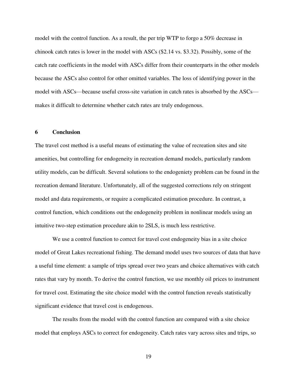model with the control function. As a result, the per trip WTP to forgo a 50% decrease in chinook catch rates is lower in the model with ASCs (\$2.14 vs. \$3.32). Possibly, some of the catch rate coefficients in the model with ASCs differ from their counterparts in the other models because the ASCs also control for other omitted variables. The loss of identifying power in the model with ASCs—because useful cross-site variation in catch rates is absorbed by the ASCs makes it difficult to determine whether catch rates are truly endogenous.

#### **6 Conclusion**

The travel cost method is a useful means of estimating the value of recreation sites and site amenities, but controlling for endogeneity in recreation demand models, particularly random utility models, can be difficult. Several solutions to the endogeniety problem can be found in the recreation demand literature. Unfortunately, all of the suggested corrections rely on stringent model and data requirements, or require a complicated estimation procedure. In contrast, a control function, which conditions out the endogeneity problem in nonlinear models using an intuitive two-step estimation procedure akin to 2SLS, is much less restrictive.

We use a control function to correct for travel cost endogeneity bias in a site choice model of Great Lakes recreational fishing. The demand model uses two sources of data that have a useful time element: a sample of trips spread over two years and choice alternatives with catch rates that vary by month. To derive the control function, we use monthly oil prices to instrument for travel cost. Estimating the site choice model with the control function reveals statistically significant evidence that travel cost is endogenous.

The results from the model with the control function are compared with a site choice model that employs ASCs to correct for endogeneity. Catch rates vary across sites and trips, so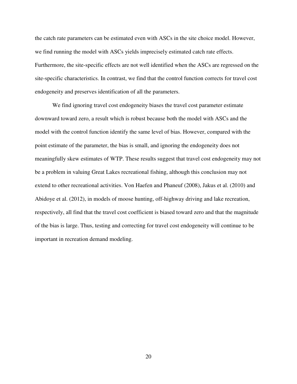the catch rate parameters can be estimated even with ASCs in the site choice model. However, we find running the model with ASCs yields imprecisely estimated catch rate effects. Furthermore, the site-specific effects are not well identified when the ASCs are regressed on the site-specific characteristics. In contrast, we find that the control function corrects for travel cost endogeneity and preserves identification of all the parameters.

We find ignoring travel cost endogeneity biases the travel cost parameter estimate downward toward zero, a result which is robust because both the model with ASCs and the model with the control function identify the same level of bias. However, compared with the point estimate of the parameter, the bias is small, and ignoring the endogeneity does not meaningfully skew estimates of WTP. These results suggest that travel cost endogeneity may not be a problem in valuing Great Lakes recreational fishing, although this conclusion may not extend to other recreational activities. Von Haefen and Phaneuf (2008), Jakus et al. (2010) and Abidoye et al. (2012), in models of moose hunting, off-highway driving and lake recreation, respectively, all find that the travel cost coefficient is biased toward zero and that the magnitude of the bias is large. Thus, testing and correcting for travel cost endogeneity will continue to be important in recreation demand modeling.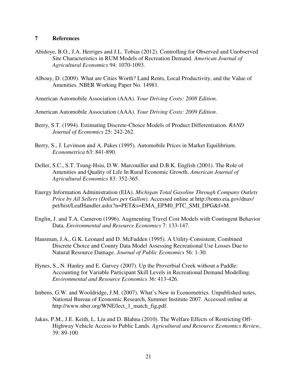#### **7 References**

- Abidoye, B.O., J.A. Herriges and J.L. Tobias (2012). Controlling for Observed and Unobserved Site Characteristics in RUM Models of Recreation Demand. *American Journal of Agricultural Economics* 94: 1070-1093.
- Albouy, D. (2009). What are Cities Worth? Land Rents, Local Productivity, and the Value of Amenities. NBER Working Paper No. 14981.
- American Automobile Association (AAA). *Your Driving Costs: 2008 Edition*.
- American Automobile Association (AAA). *Your Driving Costs: 2009 Edition*.
- Berry, S.T. (1994). Estimating Discrete-Choice Models of Product Differentiation. *RAND Journal of Economics* 25: 242-262.
- Berry, S., J. Levinson and A. Pakes (1995). Automobile Prices in Market Equilibrium. *Econometrica* 63: 841-890.
- Deller, S.C., S.T. Tsung-Hsiu, D.W. Marcouiller and D.B.K. English (2001). The Role of Amenities and Quality of Life In Rural Economic Growth. *American Journal of Agricultural Economics* 83: 352-365.
- Energy Information Administration (EIA). *Michigan Total Gasoline Through Company Outlets Price by All Sellers (Dollars per Gallon)*. Accessed online at http://tonto.eia.gov/dnav/ pet/hist/LeafHandler.ashx?n=PET&s=EMA\_EPM0\_PTC\_SMI\_DPG&f=M.
- Englin, J. and T.A. Cameron (1996). Augmenting Travel Cost Models with Contingent Behavior Data. *Environmental and Resource Economics* 7: 133-147.
- Hausman, J.A., G.K. Leonard and D. McFadden (1995). A Utility-Consistent, Combined Discrete Choice and County Data Model Assessing Recreational Use Losses Due to Natural Resource Damage. *Journal of Public Economics* 56: 1-30.
- Hynes, S., N. Hanley and E. Garvey (2007). Up the Proverbial Creek without a Paddle: Accounting for Variable Participant Skill Levels in Recreational Demand Modelling. *Environmental and Resource Economics* 36: 413-426.
- Imbens, G.W. and Wooldridge, J.M. (2007). What's New in Econometrics. Unpublished notes, National Bureau of Economic Research, Summer Institute 2007. Accessed online at http://www.nber.org/WNE/lect\_1\_match\_fig.pdf.
- Jakus, P.M., J.E. Keith, L. Liu and D. Blahna (2010). The Welfare Effects of Restricting Off-Highway Vehicle Access to Public Lands. *Agricultural and Resource Economics Review*, 39: 89-100.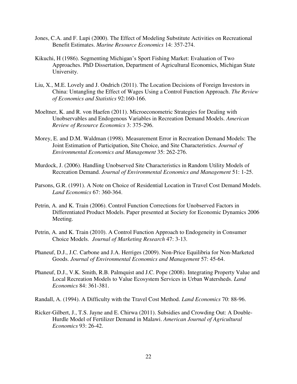- Jones, C.A. and F. Lupi (2000). The Effect of Modeling Substitute Activities on Recreational Benefit Estimates. *Marine Resource Economics* 14: 357-274.
- Kikuchi, H (1986). Segmenting Michigan's Sport Fishing Market: Evaluation of Two Approaches. PhD Dissertation, Department of Agricultural Economics, Michigan State University.
- Liu, X., M.E. Lovely and J. Ondrich (2011). The Location Decisions of Foreign Investors in China: Untangling the Effect of Wages Using a Control Function Approach. *The Review of Economics and Statistics* 92:160-166.
- Moeltner, K. and R. von Haefen (2011). Microeconometric Strategies for Dealing with Unobservables and Endogenous Variables in Recreation Demand Models. *American Review of Resource Economics* 3: 375-296.
- Morey, E. and D.M. Waldman (1998). Measurement Error in Recreation Demand Models: The Joint Estimation of Participation, Site Choice, and Site Characteristics. *Journal of Environmental Economics and Management* 35: 262-276.
- Murdock, J. (2006). Handling Unobserved Site Characteristics in Random Utility Models of Recreation Demand. *Journal of Environmental Economics and Management* 51: 1-25.
- Parsons, G.R. (1991). A Note on Choice of Residential Location in Travel Cost Demand Models. *Land Economics* 67: 360-364.
- Petrin, A. and K. Train (2006). Control Function Corrections for Unobserved Factors in Differentiated Product Models. Paper presented at Society for Economic Dynamics 2006 Meeting.
- Petrin, A. and K. Train (2010). A Control Function Approach to Endogeneity in Consumer Choice Models. *Journal of Marketing Research* 47: 3-13.
- Phaneuf, D.J., J.C. Carbone and J.A. Herriges (2009). Non-Price Equilibria for Non-Marketed Goods. *Journal of Environmental Economics and Management* 57: 45-64.
- Phaneuf, D.J., V.K. Smith, R.B. Palmquist and J.C. Pope (2008). Integrating Property Value and Local Recreation Models to Value Ecosystem Services in Urban Watersheds. *Land Economics* 84: 361-381.
- Randall, A. (1994). A Difficulty with the Travel Cost Method. *Land Economics* 70: 88-96.
- Ricker-Gilbert, J., T.S. Jayne and E. Chirwa (2011). Subsidies and Crowding Out: A Double-Hurdle Model of Fertilizer Demand in Malawi. *American Journal of Agricultural Economics* 93: 26-42.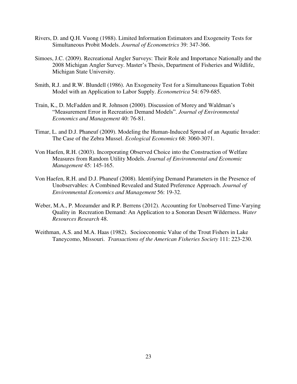- Rivers, D. and Q.H. Vuong (1988). Limited Information Estimators and Exogeneity Tests for Simultaneous Probit Models. *Journal of Econometrics* 39: 347-366.
- Simoes, J.C. (2009). Recreational Angler Surveys: Their Role and Importance Nationally and the 2008 Michigan Angler Survey. Master's Thesis, Department of Fisheries and Wildlife, Michigan State University.
- Smith, R.J. and R.W. Blundell (1986). An Exogeneity Test for a Simultaneous Equation Tobit Model with an Application to Labor Supply. *Econometrica* 54: 679-685.
- Train, K., D. McFadden and R. Johnson (2000). Discussion of Morey and Waldman's "Measurement Error in Recreation Demand Models". *Journal of Environmental Economics and Management* 40: 76-81.
- Timar, L. and D.J. Phaneuf (2009). Modeling the Human-Induced Spread of an Aquatic Invader: The Case of the Zebra Mussel. *Ecological Economics* 68: 3060-3071.
- Von Haefen, R.H. (2003). Incorporating Observed Choice into the Construction of Welfare Measures from Random Utility Models. *Journal of Environmental and Economic Management* 45: 145-165.
- Von Haefen, R.H. and D.J. Phaneuf (2008). Identifying Demand Parameters in the Presence of Unobservables: A Combined Revealed and Stated Preference Approach. *Journal of Environmental Economics and Management* 56: 19-32.
- Weber, M.A., P. Mozumder and R.P. Berrens (2012). Accounting for Unobserved Time-Varying Quality in Recreation Demand: An Application to a Sonoran Desert Wilderness. *Water Resources Research* 48.
- Weithman, A.S. and M.A. Haas (1982). Socioeconomic Value of the Trout Fishers in Lake Taneycomo, Missouri. *Transactions of the American Fisheries Society* 111: 223-230.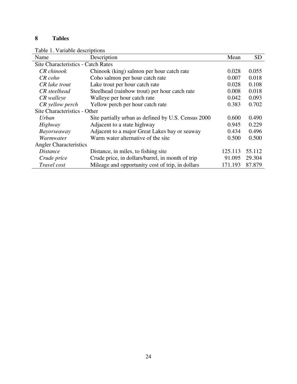## **8 Tables**

Table 1. Variable descriptions

| Name                                      | Description                                         | Mean    | <b>SD</b> |  |  |
|-------------------------------------------|-----------------------------------------------------|---------|-----------|--|--|
| <b>Site Characteristics - Catch Rates</b> |                                                     |         |           |  |  |
| CR chinook                                | Chinook (king) salmon per hour catch rate           | 0.028   | 0.055     |  |  |
| CR coho                                   | Coho salmon per hour catch rate                     | 0.007   | 0.018     |  |  |
| CR lake trout                             | Lake trout per hour catch rate                      | 0.028   | 0.108     |  |  |
| CR steelhead                              | Steelhead (rainbow trout) per hour catch rate       | 0.008   | 0.018     |  |  |
| CR walleye                                | Walleye per hour catch rate                         | 0.042   | 0.093     |  |  |
| CR yellow perch                           | Yellow perch per hour catch rate                    | 0.383   | 0.702     |  |  |
| Site Characteristics - Other              |                                                     |         |           |  |  |
| Urban                                     | Site partially urban as defined by U.S. Census 2000 | 0.600   | 0.490     |  |  |
| Highway                                   | Adjacent to a state highway                         | 0.945   | 0.229     |  |  |
| <i>Bayorseaway</i>                        | Adjacent to a major Great Lakes bay or seaway       | 0.434   | 0.496     |  |  |
| Warmwater                                 | Warm water alternative of the site                  | 0.500   | 0.500     |  |  |
| <b>Angler Characteristics</b>             |                                                     |         |           |  |  |
| <i>Distance</i>                           | Distance, in miles, to fishing site                 | 125.113 | 55.112    |  |  |
| Crude price                               | Crude price, in dollars/barrel, in month of trip    | 91.095  | 29.304    |  |  |
| Travel cost                               | Mileage and opportunity cost of trip, in dollars    | 171.193 | 87.879    |  |  |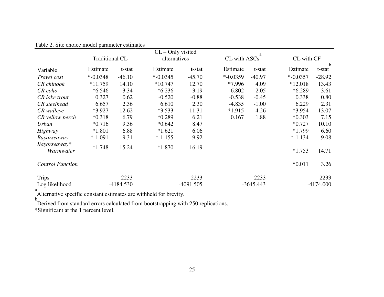| $CL$ – Only visited<br>a  |                       |             |              |             |             |              |             |              |  |
|---------------------------|-----------------------|-------------|--------------|-------------|-------------|--------------|-------------|--------------|--|
|                           | <b>Traditional CL</b> |             | alternatives |             |             | CL with ASCs |             | CL with CF   |  |
| Variable                  | Estimate              | t-stat      | Estimate     | t-stat      | Estimate    | t-stat       | Estimate    | b.<br>t-stat |  |
| Travel cost               | $*$ -0.0348           | $-46.10$    | $*$ -0.0345  | $-45.70$    | $* -0.0359$ | $-40.97$     | $*$ -0.0357 | $-28.92$     |  |
| CR chinook                | $*11.759$             | 14.10       | $*10.747$    | 12.70       | *7.996      | 4.09         | $*12.018$   | 13.43        |  |
| CR coho                   | $*6.546$              | 3.34        | $*6.236$     | 3.19        | 6.802       | 2.05         | $*6.289$    | 3.61         |  |
| CR lake trout             | 0.327                 | 0.62        | $-0.520$     | $-0.88$     | $-0.538$    | $-0.45$      | 0.338       | 0.80         |  |
| CR steelhead              | 6.657                 | 2.36        | 6.610        | 2.30        | $-4.835$    | $-1.00$      | 6.229       | 2.31         |  |
| CR walleye                | *3.927                | 12.62       | $*3.533$     | 11.31       | $*1.915$    | 4.26         | $*3.954$    | 13.07        |  |
| CR yellow perch           | $*0.318$              | 6.79        | $*0.289$     | 6.21        | 0.167       | 1.88         | $*0.303$    | 7.15         |  |
| Urban                     | $*0.716$              | 9.36        | $*0.642$     | 8.47        |             |              | $*0.727$    | 10.10        |  |
| Highway                   | $*1.801$              | 6.88        | $*1.621$     | 6.06        |             |              | $*1.799$    | 6.60         |  |
| <i>Bayorseaway</i>        | $* -1.091$            | $-9.31$     | $* -1.155$   | $-9.92$     |             |              | $* - 1.134$ | $-9.08$      |  |
| Bayorseaway*<br>Warmwater | $*1.748$              | 15.24       | $*1.870$     | 16.19       |             |              | $*1.753$    | 14.71        |  |
| <b>Control Function</b>   |                       |             |              |             |             |              | $*0.011$    | 3.26         |  |
| <b>Trips</b>              |                       | 2233        |              | 2233        |             | 2233         |             | 2233         |  |
| Log likelihood            |                       | $-4184.530$ |              | $-4091.505$ |             | $-3645.443$  |             | $-4174.000$  |  |

Table 2. Site choice model parameter estimates

a Alternative specific constant estimates are withheld for brevity.

b Derived from standard errors calculated from bootstrapping with 250 replications.

\*Significant at the 1 percent level.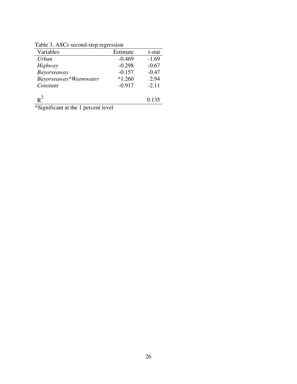Table 3. ASCs second-step regression

| $-0.469$ | $-1.69$ |
|----------|---------|
| $-0.298$ | $-0.67$ |
| $-0.157$ | $-0.47$ |
| $*1.260$ | 2.94    |
| $-0.917$ | $-2.11$ |
|          | 0.135   |
|          |         |

\*Significant at the 1 percent level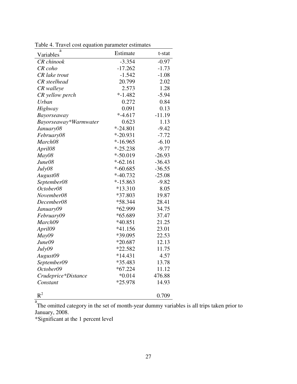| a<br>Variables        | Estimate     | t-stat   |
|-----------------------|--------------|----------|
| <b>CR</b> chinook     | $-3.354$     | $-0.97$  |
| CR coho               | $-17.262$    | $-1.73$  |
| CR lake trout         | $-1.542$     | $-1.08$  |
| <b>CR</b> steelhead   | 20.799       | 2.02     |
| CR walleye            | 2.573        | 1.28     |
| CR yellow perch       | $* - 1.482$  | $-5.94$  |
| <b>Urban</b>          | 0.272        | 0.84     |
| Highway               | 0.091        | 0.13     |
| Bayorseaway           | $* -4.617$   | $-11.19$ |
| Bayorseaway*Warmwater | 0.623        | 1.13     |
| January08             | $* -24.801$  | $-9.42$  |
| February08            | $* -20.931$  | $-7.72$  |
| March08               | $*-16.965$   | $-6.10$  |
| April08               | $* -25.238$  | $-9.77$  |
| May08                 | $* - 50.019$ | $-26.93$ |
| June08                | $*-62.161$   | $-36.43$ |
| July08                | $* -60.685$  | $-36.55$ |
| August08              | $*-40.732$   | $-25.08$ |
| September08           | $*-15.863$   | $-9.82$  |
| October08             | $*13.310$    | 8.05     |
| November08            | *37.803      | 19.87    |
| December08            | *58.344      | 28.41    |
| January09             | *62.999      | 34.75    |
| February09            | *65.689      | 37.47    |
| March09               | $*40.851$    | 21.25    |
| April09               | $*41.156$    | 23.01    |
| May09                 | *39.095      | 22.53    |
| June09                | $*20.687$    | 12.13    |
| July09                | *22.582      | 11.75    |
| August09              | $*14.431$    | 4.57     |
| September09           | *35.483      | 13.78    |
| October09             | $*67.224$    | 11.12    |
| Crudeprice*Distance   | $*0.014$     | 476.88   |
| Constant              | *25.978      | 14.93    |
| $\mathbf{R}^2$        |              | 0.709    |

Table 4. Travel cost equation parameter estimates

a The omitted category in the set of month-year dummy variables is all trips taken prior to January, 2008.

\*Significant at the 1 percent level